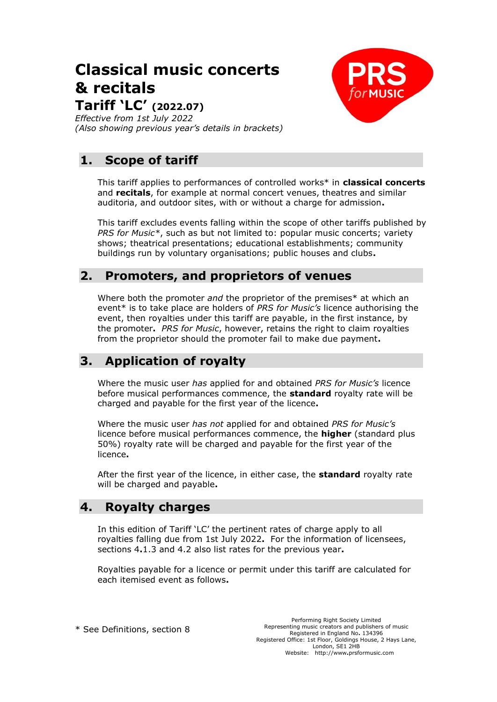# **Classical music concerts & recitals**



**Tariff 'LC' (2022.07)**

*Effective from 1st July 2022 (Also showing previous year's details in brackets)*

# **1. Scope of tariff**

This tariff applies to performances of controlled works\* in **classical concerts** and **recitals**, for example at normal concert venues, theatres and similar auditoria, and outdoor sites, with or without a charge for admission**.**

This tariff excludes events falling within the scope of other tariffs published by *PRS for Music\**, such as but not limited to: popular music concerts; variety shows; theatrical presentations; educational establishments; community buildings run by voluntary organisations; public houses and clubs**.**

## **2. Promoters, and proprietors of venues**

Where both the promoter *and* the proprietor of the premises\* at which an event\* is to take place are holders of *PRS for Music's* licence authorising the event, then royalties under this tariff are payable, in the first instance, by the promoter**.** *PRS for Music*, however, retains the right to claim royalties from the proprietor should the promoter fail to make due payment**.**

# **3. Application of royalty**

Where the music user *has* applied for and obtained *PRS for Music's* licence before musical performances commence, the **standard** royalty rate will be charged and payable for the first year of the licence**.**

Where the music user *has not* applied for and obtained *PRS for Music's* licence before musical performances commence, the **higher** (standard plus 50%) royalty rate will be charged and payable for the first year of the licence**.**

After the first year of the licence, in either case, the **standard** royalty rate will be charged and payable**.**

### **4. Royalty charges**

In this edition of Tariff 'LC' the pertinent rates of charge apply to all royalties falling due from 1st July 2022**.** For the information of licensees, sections 4**.**1.3 and 4.2 also list rates for the previous year**.**

Royalties payable for a licence or permit under this tariff are calculated for each itemised event as follows**.**

\* See Definitions, section 8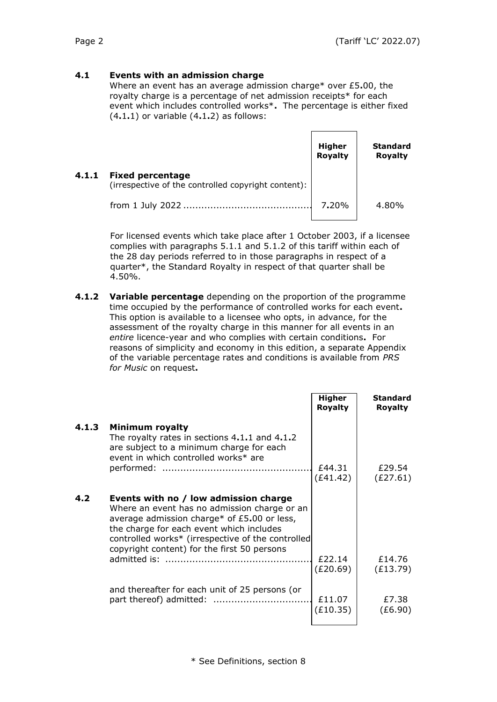### **4.1 Events with an admission charge**

Where an event has an average admission charge\* over £5**.**00, the royalty charge is a percentage of net admission receipts\* for each event which includes controlled works\***.** The percentage is either fixed (4**.**1**.**1) or variable (4**.**1**.**2) as follows:

|       |                                                                                | Higher<br>Royalty | <b>Standard</b><br><b>Royalty</b> |
|-------|--------------------------------------------------------------------------------|-------------------|-----------------------------------|
| 4.1.1 | <b>Fixed percentage</b><br>(irrespective of the controlled copyright content): |                   |                                   |
|       |                                                                                | 7.20%             | 4.80%                             |

For licensed events which take place after 1 October 2003, if a licensee complies with paragraphs 5.1.1 and 5.1.2 of this tariff within each of the 28 day periods referred to in those paragraphs in respect of a quarter\*, the Standard Royalty in respect of that quarter shall be 4.50%.

**4.1.2 Variable percentage** depending on the proportion of the programme time occupied by the performance of controlled works for each event**.** This option is available to a licensee who opts, in advance, for the assessment of the royalty charge in this manner for all events in an *entire* licence-year and who complies with certain conditions**.** For reasons of simplicity and economy in this edition, a separate Appendix of the variable percentage rates and conditions is available from *PRS for Music* on request**.**

|       |                                                                                                                                                                                                                                                                                        | <b>Higher</b><br><b>Royalty</b> | <b>Standard</b><br><b>Royalty</b> |
|-------|----------------------------------------------------------------------------------------------------------------------------------------------------------------------------------------------------------------------------------------------------------------------------------------|---------------------------------|-----------------------------------|
| 4.1.3 | Minimum royalty<br>The royalty rates in sections 4.1.1 and 4.1.2<br>are subject to a minimum charge for each<br>event in which controlled works* are                                                                                                                                   | £44.31<br>(E41.42)              | £29.54<br>(E27.61)                |
| 4.2   | Events with no / low admission charge<br>Where an event has no admission charge or an<br>average admission charge* of $£5.00$ or less,<br>the charge for each event which includes<br>controlled works* (irrespective of the controlled<br>copyright content) for the first 50 persons | £22.14                          | £14.76                            |
|       | and thereafter for each unit of 25 persons (or                                                                                                                                                                                                                                         | (E20.69)<br>£11.07<br>(E10.35)  | (E13.79)<br>£7.38<br>(E6.90)      |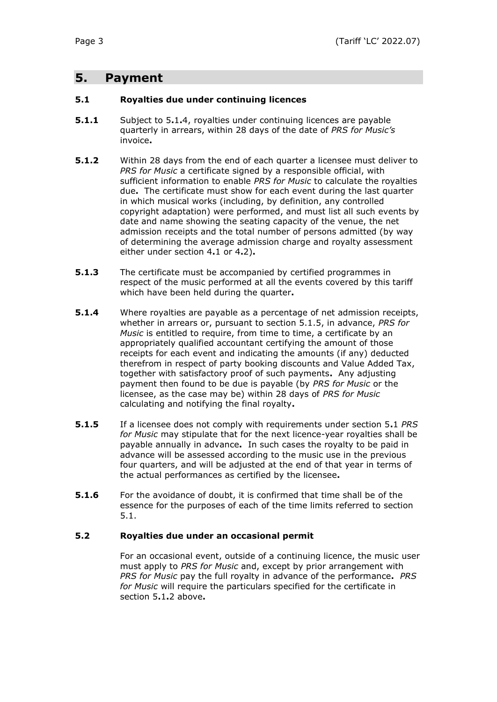### **5. Payment**

### **5.1 Royalties due under continuing licences**

- **5.1.1** Subject to 5**.**1**.**4, royalties under continuing licences are payable quarterly in arrears, within 28 days of the date of *PRS for Music's* invoice**.**
- **5.1.2** Within 28 days from the end of each quarter a licensee must deliver to *PRS for Music* a certificate signed by a responsible official, with sufficient information to enable *PRS for Music* to calculate the royalties due**.** The certificate must show for each event during the last quarter in which musical works (including, by definition, any controlled copyright adaptation) were performed, and must list all such events by date and name showing the seating capacity of the venue, the net admission receipts and the total number of persons admitted (by way of determining the average admission charge and royalty assessment either under section 4**.**1 or 4**.**2)**.**
- **5.1.3** The certificate must be accompanied by certified programmes in respect of the music performed at all the events covered by this tariff which have been held during the quarter**.**
- **5.1.4** Where royalties are payable as a percentage of net admission receipts, whether in arrears or, pursuant to section 5.1.5, in advance, *PRS for Music* is entitled to require, from time to time, a certificate by an appropriately qualified accountant certifying the amount of those receipts for each event and indicating the amounts (if any) deducted therefrom in respect of party booking discounts and Value Added Tax, together with satisfactory proof of such payments**.** Any adjusting payment then found to be due is payable (by *PRS for Music* or the licensee, as the case may be) within 28 days of *PRS for Music* calculating and notifying the final royalty**.**
- **5.1.5** If a licensee does not comply with requirements under section 5**.**1 *PRS for Music* may stipulate that for the next licence-year royalties shall be payable annually in advance**.** In such cases the royalty to be paid in advance will be assessed according to the music use in the previous four quarters, and will be adjusted at the end of that year in terms of the actual performances as certified by the licensee**.**
- **5.1.6** For the avoidance of doubt, it is confirmed that time shall be of the essence for the purposes of each of the time limits referred to section 5.1.

### **5.2 Royalties due under an occasional permit**

For an occasional event, outside of a continuing licence, the music user must apply to *PRS for Music* and, except by prior arrangement with *PRS for Music* pay the full royalty in advance of the performance**.** *PRS for Music* will require the particulars specified for the certificate in section 5**.**1**.**2 above**.**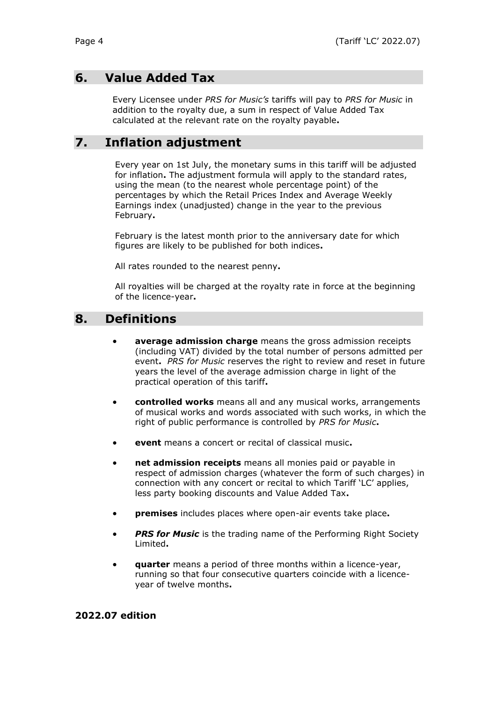### **6. Value Added Tax**

Every Licensee under *PRS for Music's* tariffs will pay to *PRS for Music* in addition to the royalty due, a sum in respect of Value Added Tax calculated at the relevant rate on the royalty payable**.**

# **7. Inflation adjustment**

Every year on 1st July, the monetary sums in this tariff will be adjusted for inflation**.** The adjustment formula will apply to the standard rates, using the mean (to the nearest whole percentage point) of the percentages by which the Retail Prices Index and Average Weekly Earnings index (unadjusted) change in the year to the previous February**.**

February is the latest month prior to the anniversary date for which figures are likely to be published for both indices**.**

All rates rounded to the nearest penny**.**

All royalties will be charged at the royalty rate in force at the beginning of the licence-year**.**

### **8. Definitions**

- **average admission charge** means the gross admission receipts (including VAT) divided by the total number of persons admitted per event**.** *PRS for Music* reserves the right to review and reset in future years the level of the average admission charge in light of the practical operation of this tariff**.**
- **controlled works** means all and any musical works, arrangements of musical works and words associated with such works, in which the right of public performance is controlled by *PRS for Music***.**
- **event** means a concert or recital of classical music**.**
- **net admission receipts** means all monies paid or payable in respect of admission charges (whatever the form of such charges) in connection with any concert or recital to which Tariff 'LC' applies, less party booking discounts and Value Added Tax**.**
- **premises** includes places where open-air events take place**.**
- **PRS for Music** is the trading name of the Performing Right Society Limited**.**
- **quarter** means a period of three months within a licence-year, running so that four consecutive quarters coincide with a licenceyear of twelve months**.**

### **2022.07 edition**